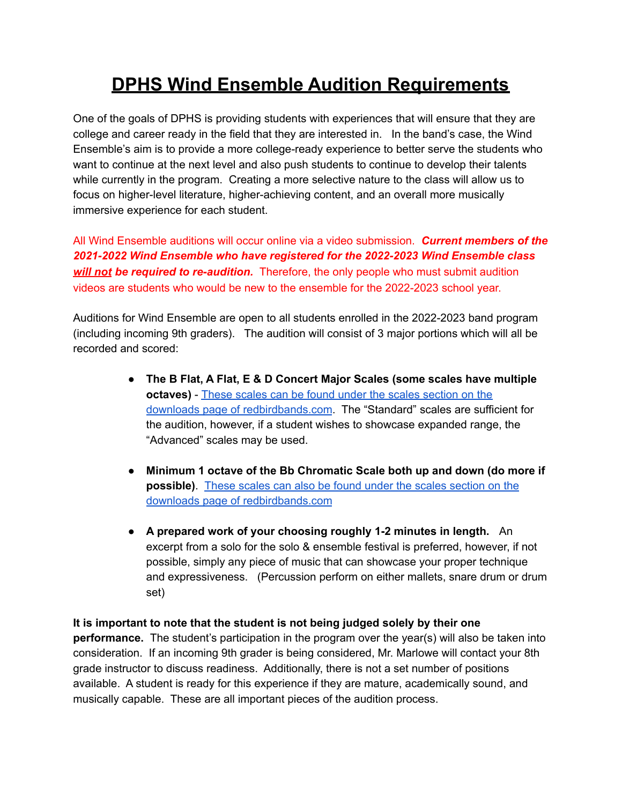## **DPHS Wind Ensemble Audition Requirements**

One of the goals of DPHS is providing students with experiences that will ensure that they are college and career ready in the field that they are interested in. In the band's case, the Wind Ensemble's aim is to provide a more college-ready experience to better serve the students who want to continue at the next level and also push students to continue to develop their talents while currently in the program. Creating a more selective nature to the class will allow us to focus on higher-level literature, higher-achieving content, and an overall more musically immersive experience for each student.

All Wind Ensemble auditions will occur online via a video submission. *Current members of the 2021-2022 Wind Ensemble who have registered for the 2022-2023 Wind Ensemble class will not be required to re-audition.* Therefore, the only people who must submit audition videos are students who would be new to the ensemble for the 2022-2023 school year.

Auditions for Wind Ensemble are open to all students enrolled in the 2022-2023 band program (including incoming 9th graders). The audition will consist of 3 major portions which will all be recorded and scored:

- **The B Flat, A Flat, E & D Concert Major Scales (some scales have multiple octaves)** - These scales can be found under the scales [section](https://drive.google.com/drive/folders/1Uba8jQjzwxVXAvZXuDH20g1L51yn-ibc) on the downloads page of [redbirdbands.com](https://drive.google.com/drive/folders/1Uba8jQjzwxVXAvZXuDH20g1L51yn-ibc). The "Standard" scales are sufficient for the audition, however, if a student wishes to showcase expanded range, the "Advanced" scales may be used.
- **Minimum 1 octave of the Bb Chromatic Scale both up and down (do more if possible)**. These scales can also be found under the scales [section](https://drive.google.com/drive/folders/1Uba8jQjzwxVXAvZXuDH20g1L51yn-ibc) on the downloads page of [redbirdbands.com](https://drive.google.com/drive/folders/1Uba8jQjzwxVXAvZXuDH20g1L51yn-ibc)
- **A prepared work of your choosing roughly 1-2 minutes in length.** An excerpt from a solo for the solo & ensemble festival is preferred, however, if not possible, simply any piece of music that can showcase your proper technique and expressiveness. (Percussion perform on either mallets, snare drum or drum set)

**It is important to note that the student is not being judged solely by their one performance.** The student's participation in the program over the year(s) will also be taken into consideration. If an incoming 9th grader is being considered, Mr. Marlowe will contact your 8th grade instructor to discuss readiness. Additionally, there is not a set number of positions available. A student is ready for this experience if they are mature, academically sound, and musically capable. These are all important pieces of the audition process.